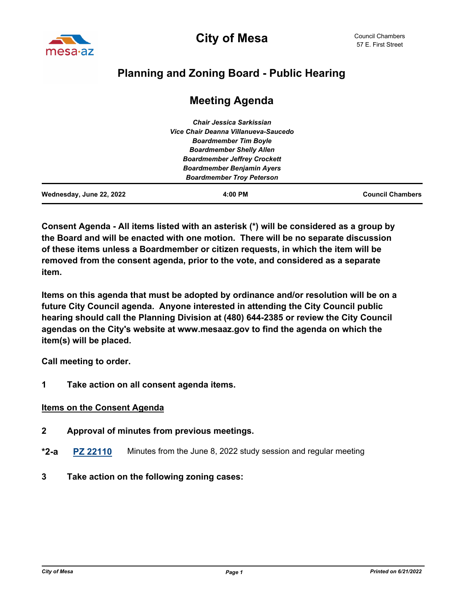

# **Planning and Zoning Board - Public Hearing**

# **Meeting Agenda**

| Wednesday, June 22, 2022 | 4:00 PM                              | <b>Council Chambers</b> |
|--------------------------|--------------------------------------|-------------------------|
|                          | <b>Boardmember Troy Peterson</b>     |                         |
|                          | <b>Boardmember Benjamin Ayers</b>    |                         |
|                          | <b>Boardmember Jeffrey Crockett</b>  |                         |
|                          | <b>Boardmember Shelly Allen</b>      |                         |
|                          | <b>Boardmember Tim Boyle</b>         |                         |
|                          | Vice Chair Deanna Villanueva-Saucedo |                         |
|                          | Chair Jessica Sarkissian             |                         |

**Consent Agenda - All items listed with an asterisk (\*) will be considered as a group by the Board and will be enacted with one motion. There will be no separate discussion of these items unless a Boardmember or citizen requests, in which the item will be removed from the consent agenda, prior to the vote, and considered as a separate item.** 

**Items on this agenda that must be adopted by ordinance and/or resolution will be on a future City Council agenda. Anyone interested in attending the City Council public hearing should call the Planning Division at (480) 644-2385 or review the City Council agendas on the City's website at www.mesaaz.gov to find the agenda on which the item(s) will be placed.**

**Call meeting to order.**

**1 Take action on all consent agenda items.**

#### **Items on the Consent Agenda**

- **2 Approval of minutes from previous meetings.**
- **\*2-a [PZ 22110](http://mesa.legistar.com/gateway.aspx?m=l&id=/matter.aspx?key=18756)** Minutes from the June 8, 2022 study session and regular meeting
- **3 Take action on the following zoning cases:**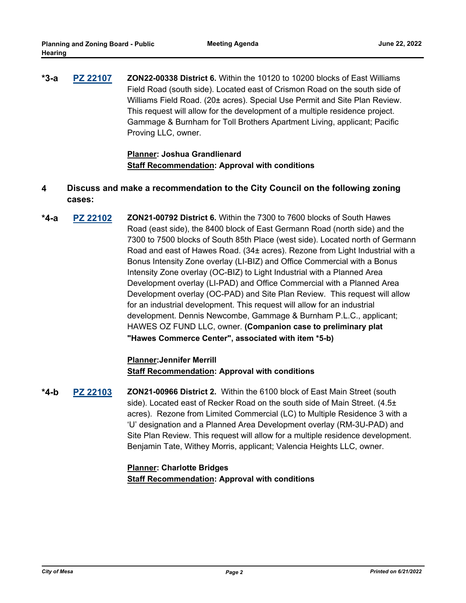**[PZ 22107](http://mesa.legistar.com/gateway.aspx?m=l&id=/matter.aspx?key=18726) ZON22-00338 District 6.** Within the 10120 to 10200 blocks of East Williams Field Road (south side). Located east of Crismon Road on the south side of Williams Field Road. (20± acres). Special Use Permit and Site Plan Review. This request will allow for the development of a multiple residence project. Gammage & Burnham for Toll Brothers Apartment Living, applicant; Pacific Proving LLC, owner. **\*3-a**

> **Planner: Joshua Grandlienard Staff Recommendation: Approval with conditions**

- **4 Discuss and make a recommendation to the City Council on the following zoning cases:**
- **[PZ 22102](http://mesa.legistar.com/gateway.aspx?m=l&id=/matter.aspx?key=18722) ZON21-00792 District 6.** Within the 7300 to 7600 blocks of South Hawes Road (east side), the 8400 block of East Germann Road (north side) and the 7300 to 7500 blocks of South 85th Place (west side). Located north of Germann Road and east of Hawes Road. (34± acres). Rezone from Light Industrial with a Bonus Intensity Zone overlay (LI-BIZ) and Office Commercial with a Bonus Intensity Zone overlay (OC-BIZ) to Light Industrial with a Planned Area Development overlay (LI-PAD) and Office Commercial with a Planned Area Development overlay (OC-PAD) and Site Plan Review. This request will allow for an industrial development. This request will allow for an industrial development. Dennis Newcombe, Gammage & Burnham P.L.C., applicant; HAWES OZ FUND LLC, owner. **(Companion case to preliminary plat "Hawes Commerce Center", associated with item \*5-b) \*4-a**

# **Planner:Jennifer Merrill Staff Recommendation: Approval with conditions**

**[PZ 22103](http://mesa.legistar.com/gateway.aspx?m=l&id=/matter.aspx?key=18723) ZON21-00966 District 2.** Within the 6100 block of East Main Street (south side). Located east of Recker Road on the south side of Main Street. (4.5± acres). Rezone from Limited Commercial (LC) to Multiple Residence 3 with a 'U' designation and a Planned Area Development overlay (RM-3U-PAD) and Site Plan Review. This request will allow for a multiple residence development. Benjamin Tate, Withey Morris, applicant; Valencia Heights LLC, owner. **\*4-b**

# **Planner: Charlotte Bridges Staff Recommendation: Approval with conditions**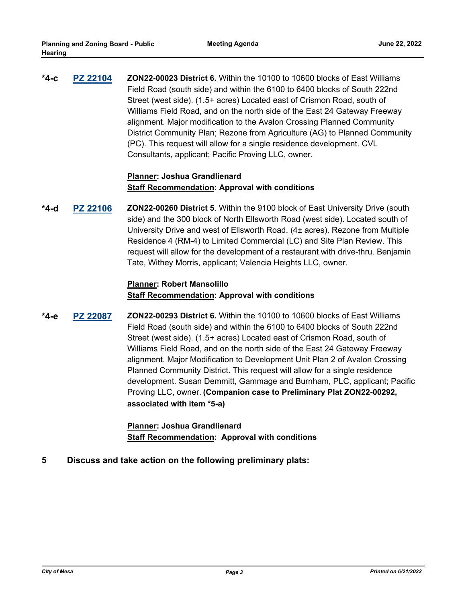**[PZ 22104](http://mesa.legistar.com/gateway.aspx?m=l&id=/matter.aspx?key=18724) ZON22-00023 District 6.** Within the 10100 to 10600 blocks of East Williams Field Road (south side) and within the 6100 to 6400 blocks of South 222nd Street (west side). (1.5+ acres) Located east of Crismon Road, south of Williams Field Road, and on the north side of the East 24 Gateway Freeway alignment. Major modification to the Avalon Crossing Planned Community District Community Plan; Rezone from Agriculture (AG) to Planned Community (PC). This request will allow for a single residence development. CVL Consultants, applicant; Pacific Proving LLC, owner. **\*4-c**

# **Planner: Joshua Grandlienard Staff Recommendation: Approval with conditions**

**[PZ 22106](http://mesa.legistar.com/gateway.aspx?m=l&id=/matter.aspx?key=18725) ZON22-00260 District 5**. Within the 9100 block of East University Drive (south side) and the 300 block of North Ellsworth Road (west side). Located south of University Drive and west of Ellsworth Road. (4± acres). Rezone from Multiple Residence 4 (RM-4) to Limited Commercial (LC) and Site Plan Review. This request will allow for the development of a restaurant with drive-thru. Benjamin Tate, Withey Morris, applicant; Valencia Heights LLC, owner. **\*4-d**

## **Planner: Robert Mansolillo Staff Recommendation: Approval with conditions**

**[PZ 22087](http://mesa.legistar.com/gateway.aspx?m=l&id=/matter.aspx?key=18587) ZON22-00293 District 6.** Within the 10100 to 10600 blocks of East Williams Field Road (south side) and within the 6100 to 6400 blocks of South 222nd Street (west side). (1.5+ acres) Located east of Crismon Road, south of Williams Field Road, and on the north side of the East 24 Gateway Freeway alignment. Major Modification to Development Unit Plan 2 of Avalon Crossing Planned Community District. This request will allow for a single residence development. Susan Demmitt, Gammage and Burnham, PLC, applicant; Pacific Proving LLC, owner. **(Companion case to Preliminary Plat ZON22-00292, associated with item \*5-a) \*4-e**

> **Planner: Joshua Grandlienard Staff Recommendation: Approval with conditions**

**5 Discuss and take action on the following preliminary plats:**